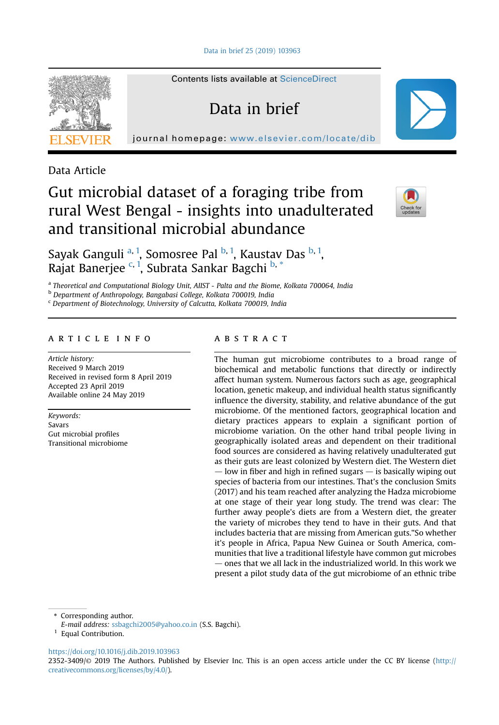[Data in brief 25 \(2019\) 103963](https://doi.org/10.1016/j.dib.2019.103963)



Contents lists available at [ScienceDirect](www.sciencedirect.com/science/journal/23523409)

Data in brief

journal homepage: <www.elsevier.com/locate/dib>

Data Article

# Gut microbial dataset of a foraging tribe from rural West Bengal - insights into unadulterated and transitional microbial abundance



Sayak Ganguli <sup>a, 1</sup>, Somosree Pal <sup>b, 1</sup>, Kaustav Das <sup>b, 1</sup>, Rajat Banerjee c, 1, Subrata Sankar Bagchi b, \*

a Theoretical and Computational Biology Unit, AIIST - Palta and the Biome, Kolkata 700064, India

<sup>b</sup> Department of Anthropology, Bangabasi College, Kolkata 700019, India

<sup>c</sup> Department of Biotechnology, University of Calcutta, Kolkata 700019, India

## article info

Article history: Received 9 March 2019 Received in revised form 8 April 2019 Accepted 23 April 2019 Available online 24 May 2019

Keywords: Savars Gut microbial profiles Transitional microbiome

# **ABSTRACT**

The human gut microbiome contributes to a broad range of biochemical and metabolic functions that directly or indirectly affect human system. Numerous factors such as age, geographical location, genetic makeup, and individual health status significantly influence the diversity, stability, and relative abundance of the gut microbiome. Of the mentioned factors, geographical location and dietary practices appears to explain a significant portion of microbiome variation. On the other hand tribal people living in geographically isolated areas and dependent on their traditional food sources are considered as having relatively unadulterated gut as their guts are least colonized by Western diet. The Western diet  $-$  low in fiber and high in refined sugars  $-$  is basically wiping out species of bacteria from our intestines. That's the conclusion Smits (2017) and his team reached after analyzing the Hadza microbiome at one stage of their year long study. The trend was clear: The further away people's diets are from a Western diet, the greater the variety of microbes they tend to have in their guts. And that includes bacteria that are missing from American guts."So whether it's people in Africa, Papua New Guinea or South America, communities that live a traditional lifestyle have common gut microbes  $-$  ones that we all lack in the industrialized world. In this work we present a pilot study data of the gut microbiome of an ethnic tribe

\* Corresponding author.

E-mail address: [ssbagchi2005@yahoo.co.in](mailto:ssbagchi2005@yahoo.co.in) (S.S. Bagchi).

<sup>1</sup> Equal Contribution.

<https://doi.org/10.1016/j.dib.2019.103963>

2352-3409/© 2019 The Authors. Published by Elsevier Inc. This is an open access article under the CC BY license ([http://](http://creativecommons.org/licenses/by/4.0/) [creativecommons.org/licenses/by/4.0/](http://creativecommons.org/licenses/by/4.0/)).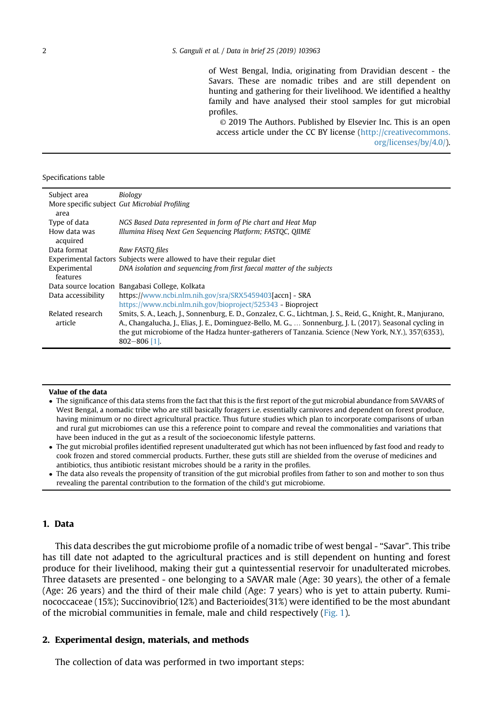of West Bengal, India, originating from Dravidian descent - the Savars. These are nomadic tribes and are still dependent on hunting and gathering for their livelihood. We identified a healthy family and have analysed their stool samples for gut microbial profiles.

© 2019 The Authors. Published by Elsevier Inc. This is an open access article under the CC BY license [\(http://creativecommons.](http://creativecommons.org/licenses/by/4.0/) [org/licenses/by/4.0/\)](http://creativecommons.org/licenses/by/4.0/).

Specifications table

| Subject area                | Biology                                                                                                                                                                                                                                                                                                                                               |
|-----------------------------|-------------------------------------------------------------------------------------------------------------------------------------------------------------------------------------------------------------------------------------------------------------------------------------------------------------------------------------------------------|
| area                        | More specific subject Gut Microbial Profiling                                                                                                                                                                                                                                                                                                         |
| Type of data                | NGS Based Data represented in form of Pie chart and Heat Map                                                                                                                                                                                                                                                                                          |
| How data was<br>acquired    | Illumina Hiseg Next Gen Sequencing Platform; FASTOC, OIIME                                                                                                                                                                                                                                                                                            |
| Data format                 | Raw FASTO files                                                                                                                                                                                                                                                                                                                                       |
|                             | Experimental factors Subjects were allowed to have their regular diet                                                                                                                                                                                                                                                                                 |
| Experimental<br>features    | DNA isolation and sequencing from first faecal matter of the subjects                                                                                                                                                                                                                                                                                 |
|                             | Data source location Bangabasi College, Kolkata                                                                                                                                                                                                                                                                                                       |
| Data accessibility          | https://www.ncbi.nlm.nih.gov/sra/SRX5459403[accn] - SRA                                                                                                                                                                                                                                                                                               |
|                             | https://www.ncbi.nlm.nih.gov/bioproject/525343 - Bioproject                                                                                                                                                                                                                                                                                           |
| Related research<br>article | Smits, S. A., Leach, J., Sonnenburg, E. D., Gonzalez, C. G., Lichtman, J. S., Reid, G., Knight, R., Manjurano,<br>A., Changalucha, J., Elias, J. E., Dominguez-Bello, M. G.,  Sonnenburg, J. L. (2017). Seasonal cycling in<br>the gut microbiome of the Hadza hunter-gatherers of Tanzania. Science (New York, N.Y.), 357(6353),<br>$802 - 806$ [1]. |

#### Value of the data

- The significance of this data stems from the fact that this is the first report of the gut microbial abundance from SAVARS of West Bengal, a nomadic tribe who are still basically foragers i.e. essentially carnivores and dependent on forest produce, having minimum or no direct agricultural practice. Thus future studies which plan to incorporate comparisons of urban and rural gut microbiomes can use this a reference point to compare and reveal the commonalities and variations that have been induced in the gut as a result of the socioeconomic lifestyle patterns.
- The gut microbial profiles identified represent unadulterated gut which has not been influenced by fast food and ready to cook frozen and stored commercial products. Further, these guts still are shielded from the overuse of medicines and antibiotics, thus antibiotic resistant microbes should be a rarity in the profiles.
- The data also reveals the propensity of transition of the gut microbial profiles from father to son and mother to son thus revealing the parental contribution to the formation of the child's gut microbiome.

# 1. Data

This data describes the gut microbiome profile of a nomadic tribe of west bengal - "Savar". This tribe has till date not adapted to the agricultural practices and is still dependent on hunting and forest produce for their livelihood, making their gut a quintessential reservoir for unadulterated microbes. Three datasets are presented - one belonging to a SAVAR male (Age: 30 years), the other of a female (Age: 26 years) and the third of their male child (Age: 7 years) who is yet to attain puberty. Ruminococcaceae (15%); Succinovibrio(12%) and Bacterioides(31%) were identified to be the most abundant of the microbial communities in female, male and child respectively ([Fig. 1](#page-2-0)).

## 2. Experimental design, materials, and methods

The collection of data was performed in two important steps: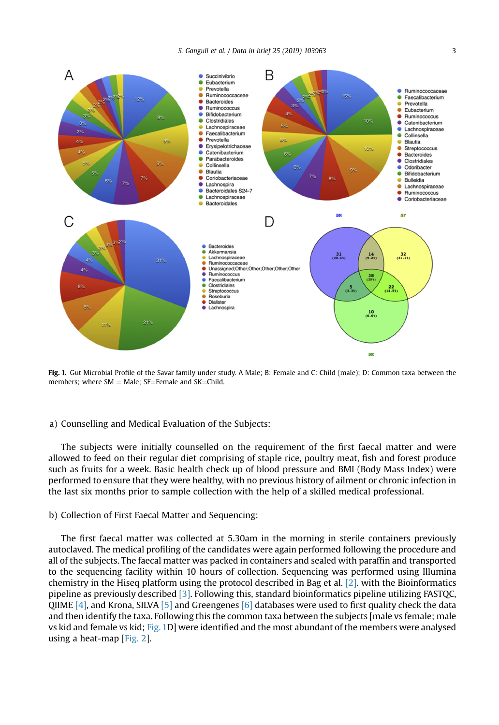<span id="page-2-0"></span>

Fig. 1. Gut Microbial Profile of the Savar family under study. A Male; B: Female and C: Child (male); D: Common taxa between the members: where  $SM = Male$ :  $SF = Female$  and  $SK = Child$ .

# a) Counselling and Medical Evaluation of the Subjects:

The subjects were initially counselled on the requirement of the first faecal matter and were allowed to feed on their regular diet comprising of staple rice, poultry meat, fish and forest produce such as fruits for a week. Basic health check up of blood pressure and BMI (Body Mass Index) were performed to ensure that they were healthy, with no previous history of ailment or chronic infection in the last six months prior to sample collection with the help of a skilled medical professional.

## b) Collection of First Faecal Matter and Sequencing:

The first faecal matter was collected at 5.30am in the morning in sterile containers previously autoclaved. The medical profiling of the candidates were again performed following the procedure and all of the subjects. The faecal matter was packed in containers and sealed with paraffin and transported to the sequencing facility within 10 hours of collection. Sequencing was performed using Illumina chemistry in the Hiseq platform using the protocol described in Bag et al. [\[2\].](#page-3-0) with the Bioinformatics pipeline as previously described [\[3\]](#page-3-0). Following this, standard bioinformatics pipeline utilizing FASTQC, QIIME  $[4]$ , and Krona, SILVA  $[5]$  and Greengenes  $[6]$  databases were used to first quality check the data and then identify the taxa. Following this the common taxa between the subjects [male vs female; male vs kid and female vs kid; Fig. 1D] were identified and the most abundant of the members were analysed using a heat-map [\[Fig. 2](#page-3-0)].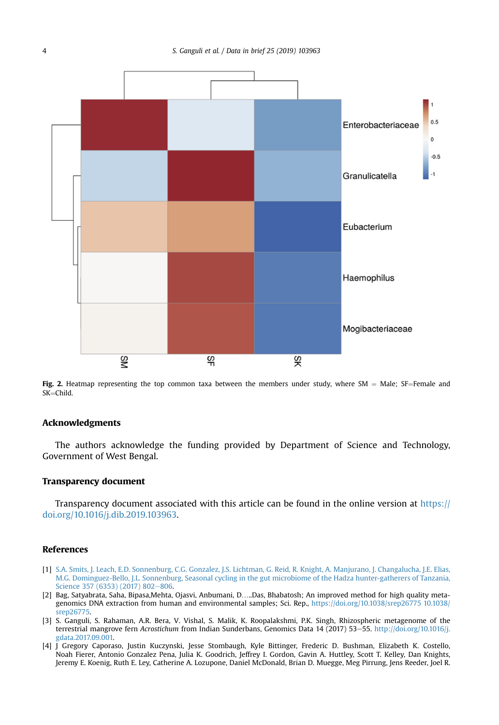<span id="page-3-0"></span>

Fig. 2. Heatmap representing the top common taxa between the members under study, where SM = Male; SF=Female and  $SK = Child$ .

## Acknowledgments

The authors acknowledge the funding provided by Department of Science and Technology, Government of West Bengal.

#### Transparency document

Transparency document associated with this article can be found in the online version at [https://](https://doi.org/10.1016/j.dib.2019.103963) [doi.org/10.1016/j.dib.2019.103963.](https://doi.org/10.1016/j.dib.2019.103963)

#### References

- [1] [S.A. Smits, J. Leach, E.D. Sonnenburg, C.G. Gonzalez, J.S. Lichtman, G. Reid, R. Knight, A. Manjurano, J. Changalucha, J.E. Elias,](http://refhub.elsevier.com/S2352-3409(19)30316-6/sref1) [M.G. Dominguez-Bello, J.L. Sonnenburg, Seasonal cycling in the gut microbiome of the Hadza hunter-gatherers of Tanzania,](http://refhub.elsevier.com/S2352-3409(19)30316-6/sref1) [Science 357 \(6353\) \(2017\) 802](http://refhub.elsevier.com/S2352-3409(19)30316-6/sref1)-[806.](http://refhub.elsevier.com/S2352-3409(19)30316-6/sref1)
- [2] Bag, Satyabrata, Saha, Bipasa,Mehta, Ojasvi, Anbumani, D…..Das, Bhabatosh; An improved method for high quality metagenomics DNA extraction from human and environmental samples; Sci. Rep., [https://doi.org/10.1038/srep26775 10.1038/](https://doi.org/10.1038/srep26775%2010.1038/srep26775) [srep26775](https://doi.org/10.1038/srep26775%2010.1038/srep26775).
- [3] S. Ganguli, S. Rahaman, A.R. Bera, V. Vishal, S. Malik, K. Roopalakshmi, P.K. Singh, Rhizospheric metagenome of the terrestrial mangrove fern Acrostichum from Indian Sunderbans, Genomics Data 14 (2017) 53-55. [http://doi.org/10.1016/j.](http://doi.org/10.1016/j.gdata.2017.09.001) [gdata.2017.09.001.](http://doi.org/10.1016/j.gdata.2017.09.001)
- [4] J Gregory Caporaso, Justin Kuczynski, Jesse Stombaugh, Kyle Bittinger, Frederic D. Bushman, Elizabeth K. Costello, Noah Fierer, Antonio Gonzalez Pena, Julia K. Goodrich, Jeffrey I. Gordon, Gavin A. Huttley, Scott T. Kelley, Dan Knights, Jeremy E. Koenig, Ruth E. Ley, Catherine A. Lozupone, Daniel McDonald, Brian D. Muegge, Meg Pirrung, Jens Reeder, Joel R.